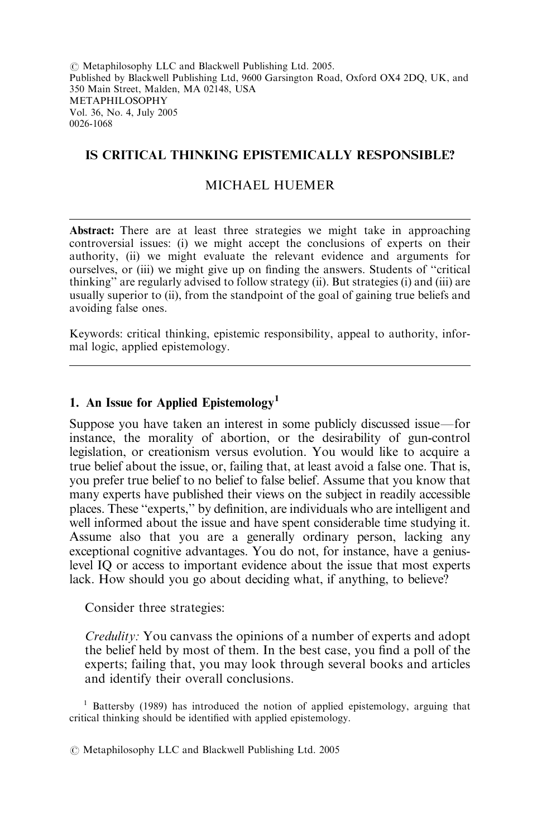$C$  Metaphilosophy LLC and Blackwell Publishing Ltd. 2005. Published by Blackwell Publishing Ltd, 9600 Garsington Road, Oxford OX4 2DQ, UK, and 350 Main Street, Malden, MA 02148, USA METAPHILOSOPHY Vol. 36, No. 4, July 2005 0026-1068

# IS CRITICAL THINKING EPISTEMICALLY RESPONSIBLE?

# MICHAEL HUEMER

Abstract: There are at least three strategies we might take in approaching controversial issues: (i) we might accept the conclusions of experts on their authority, (ii) we might evaluate the relevant evidence and arguments for ourselves, or (iii) we might give up on finding the answers. Students of ''critical thinking'' are regularly advised to follow strategy (ii). But strategies (i) and (iii) are usually superior to (ii), from the standpoint of the goal of gaining true beliefs and avoiding false ones.

Keywords: critical thinking, epistemic responsibility, appeal to authority, informal logic, applied epistemology.

## 1. An Issue for Applied Epistemology<sup>1</sup>

Suppose you have taken an interest in some publicly discussed issue—for instance, the morality of abortion, or the desirability of gun-control legislation, or creationism versus evolution. You would like to acquire a true belief about the issue, or, failing that, at least avoid a false one. That is, you prefer true belief to no belief to false belief. Assume that you know that many experts have published their views on the subject in readily accessible places. These ''experts,'' by definition, are individuals who are intelligent and well informed about the issue and have spent considerable time studying it. Assume also that you are a generally ordinary person, lacking any exceptional cognitive advantages. You do not, for instance, have a geniuslevel IQ or access to important evidence about the issue that most experts lack. How should you go about deciding what, if anything, to believe?

Consider three strategies:

Credulity: You canvass the opinions of a number of experts and adopt the belief held by most of them. In the best case, you find a poll of the experts; failing that, you may look through several books and articles and identify their overall conclusions.

<sup>1</sup> Battersby (1989) has introduced the notion of applied epistemology, arguing that critical thinking should be identified with applied epistemology.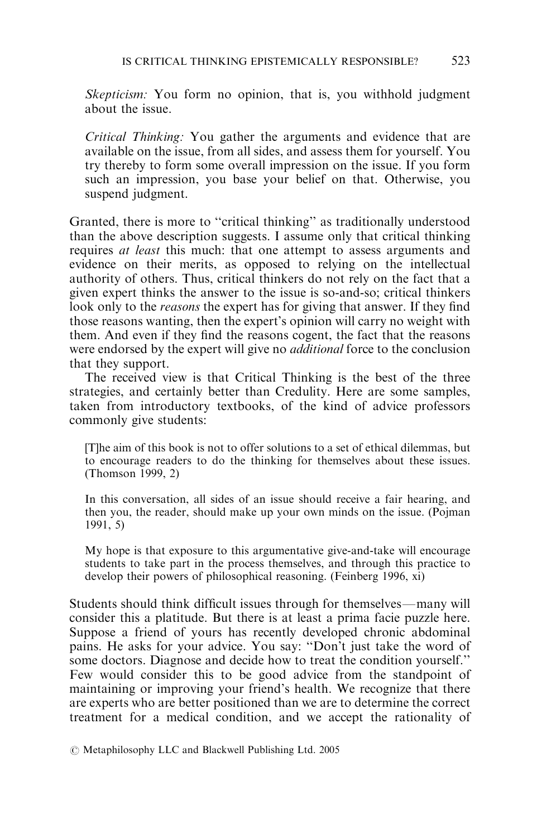Skepticism: You form no opinion, that is, you withhold judgment about the issue.

Critical Thinking: You gather the arguments and evidence that are available on the issue, from all sides, and assess them for yourself. You try thereby to form some overall impression on the issue. If you form such an impression, you base your belief on that. Otherwise, you suspend judgment.

Granted, there is more to ''critical thinking'' as traditionally understood than the above description suggests. I assume only that critical thinking requires at least this much: that one attempt to assess arguments and evidence on their merits, as opposed to relying on the intellectual authority of others. Thus, critical thinkers do not rely on the fact that a given expert thinks the answer to the issue is so-and-so; critical thinkers look only to the reasons the expert has for giving that answer. If they find those reasons wanting, then the expert's opinion will carry no weight with them. And even if they find the reasons cogent, the fact that the reasons were endorsed by the expert will give no *additional* force to the conclusion that they support.

The received view is that Critical Thinking is the best of the three strategies, and certainly better than Credulity. Here are some samples, taken from introductory textbooks, of the kind of advice professors commonly give students:

[T]he aim of this book is not to offer solutions to a set of ethical dilemmas, but to encourage readers to do the thinking for themselves about these issues. (Thomson 1999, 2)

In this conversation, all sides of an issue should receive a fair hearing, and then you, the reader, should make up your own minds on the issue. (Pojman 1991, 5)

My hope is that exposure to this argumentative give-and-take will encourage students to take part in the process themselves, and through this practice to develop their powers of philosophical reasoning. (Feinberg 1996, xi)

Students should think difficult issues through for themselves—many will consider this a platitude. But there is at least a prima facie puzzle here. Suppose a friend of yours has recently developed chronic abdominal pains. He asks for your advice. You say: ''Don't just take the word of some doctors. Diagnose and decide how to treat the condition yourself.'' Few would consider this to be good advice from the standpoint of maintaining or improving your friend's health. We recognize that there are experts who are better positioned than we are to determine the correct treatment for a medical condition, and we accept the rationality of

 $\odot$  Metaphilosophy LLC and Blackwell Publishing Ltd. 2005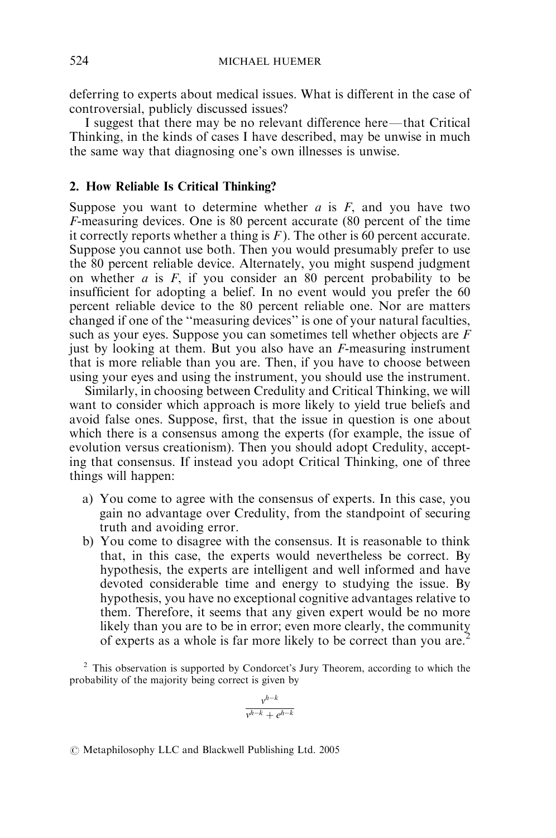deferring to experts about medical issues. What is different in the case of controversial, publicly discussed issues?

I suggest that there may be no relevant difference here—that Critical Thinking, in the kinds of cases I have described, may be unwise in much the same way that diagnosing one's own illnesses is unwise.

# 2. How Reliable Is Critical Thinking?

Suppose you want to determine whether  $a$  is  $F$ , and you have two F-measuring devices. One is 80 percent accurate (80 percent of the time it correctly reports whether a thing is  $F$ ). The other is 60 percent accurate. Suppose you cannot use both. Then you would presumably prefer to use the 80 percent reliable device. Alternately, you might suspend judgment on whether  $a$  is  $F$ , if you consider an 80 percent probability to be insufficient for adopting a belief. In no event would you prefer the 60 percent reliable device to the 80 percent reliable one. Nor are matters changed if one of the ''measuring devices'' is one of your natural faculties, such as your eyes. Suppose you can sometimes tell whether objects are F just by looking at them. But you also have an F-measuring instrument that is more reliable than you are. Then, if you have to choose between using your eyes and using the instrument, you should use the instrument.

Similarly, in choosing between Credulity and Critical Thinking, we will want to consider which approach is more likely to yield true beliefs and avoid false ones. Suppose, first, that the issue in question is one about which there is a consensus among the experts (for example, the issue of evolution versus creationism). Then you should adopt Credulity, accepting that consensus. If instead you adopt Critical Thinking, one of three things will happen:

- a) You come to agree with the consensus of experts. In this case, you gain no advantage over Credulity, from the standpoint of securing truth and avoiding error.
- b) You come to disagree with the consensus. It is reasonable to think that, in this case, the experts would nevertheless be correct. By hypothesis, the experts are intelligent and well informed and have devoted considerable time and energy to studying the issue. By hypothesis, you have no exceptional cognitive advantages relative to them. Therefore, it seems that any given expert would be no more likely than you are to be in error; even more clearly, the community of experts as a whole is far more likely to be correct than you are.<sup>2</sup>

<sup>2</sup> This observation is supported by Condorcet's Jury Theorem, according to which the probability of the majority being correct is given by

$$
\frac{v^{h-k}}{v^{h-k} + e^{h-k}}
$$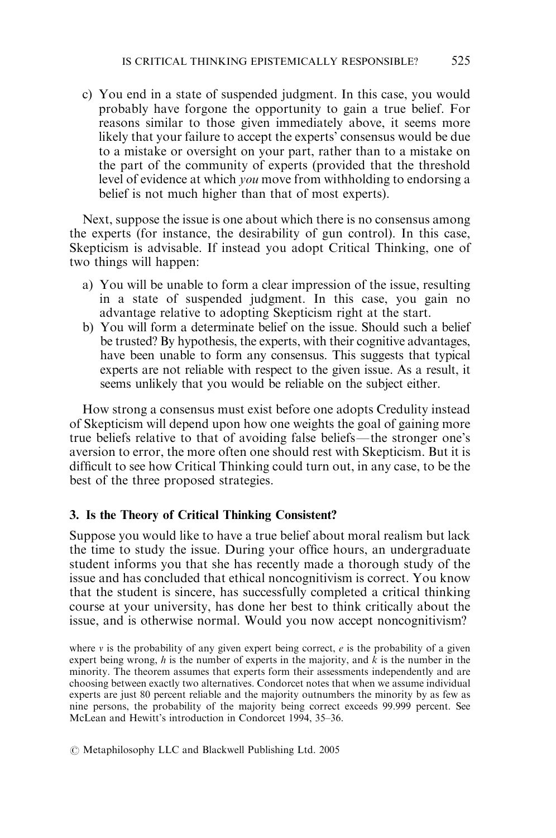c) You end in a state of suspended judgment. In this case, you would probably have forgone the opportunity to gain a true belief. For reasons similar to those given immediately above, it seems more likely that your failure to accept the experts' consensus would be due to a mistake or oversight on your part, rather than to a mistake on the part of the community of experts (provided that the threshold level of evidence at which you move from withholding to endorsing a belief is not much higher than that of most experts).

Next, suppose the issue is one about which there is no consensus among the experts (for instance, the desirability of gun control). In this case, Skepticism is advisable. If instead you adopt Critical Thinking, one of two things will happen:

- a) You will be unable to form a clear impression of the issue, resulting in a state of suspended judgment. In this case, you gain no advantage relative to adopting Skepticism right at the start.
- b) You will form a determinate belief on the issue. Should such a belief be trusted? By hypothesis, the experts, with their cognitive advantages, have been unable to form any consensus. This suggests that typical experts are not reliable with respect to the given issue. As a result, it seems unlikely that you would be reliable on the subject either.

How strong a consensus must exist before one adopts Credulity instead of Skepticism will depend upon how one weights the goal of gaining more true beliefs relative to that of avoiding false beliefs—the stronger one's aversion to error, the more often one should rest with Skepticism. But it is difficult to see how Critical Thinking could turn out, in any case, to be the best of the three proposed strategies.

## 3. Is the Theory of Critical Thinking Consistent?

Suppose you would like to have a true belief about moral realism but lack the time to study the issue. During your office hours, an undergraduate student informs you that she has recently made a thorough study of the issue and has concluded that ethical noncognitivism is correct. You know that the student is sincere, has successfully completed a critical thinking course at your university, has done her best to think critically about the issue, and is otherwise normal. Would you now accept noncognitivism?

where  $\nu$  is the probability of any given expert being correct,  $e$  is the probability of a given expert being wrong,  $h$  is the number of experts in the majority, and  $k$  is the number in the minority. The theorem assumes that experts form their assessments independently and are choosing between exactly two alternatives. Condorcet notes that when we assume individual experts are just 80 percent reliable and the majority outnumbers the minority by as few as nine persons, the probability of the majority being correct exceeds 99.999 percent. See McLean and Hewitt's introduction in Condorcet 1994, 35–36.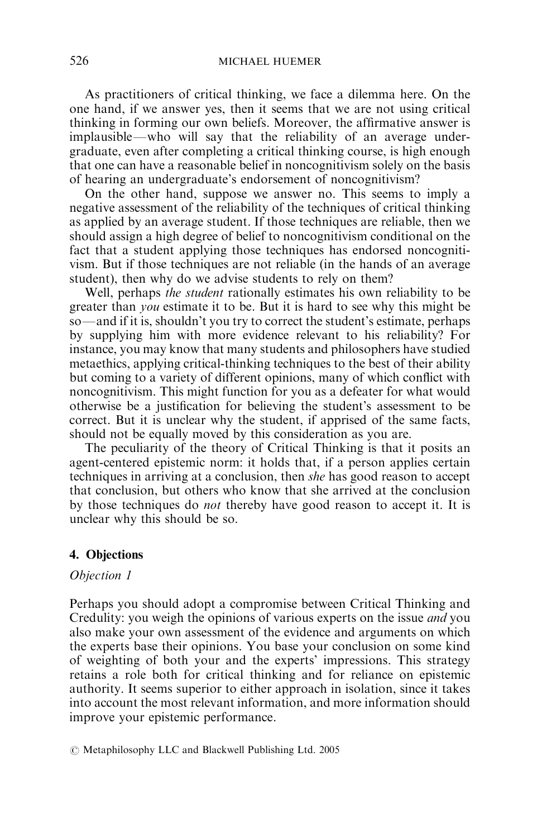As practitioners of critical thinking, we face a dilemma here. On the one hand, if we answer yes, then it seems that we are not using critical thinking in forming our own beliefs. Moreover, the affirmative answer is implausible—who will say that the reliability of an average undergraduate, even after completing a critical thinking course, is high enough that one can have a reasonable belief in noncognitivism solely on the basis of hearing an undergraduate's endorsement of noncognitivism?

On the other hand, suppose we answer no. This seems to imply a negative assessment of the reliability of the techniques of critical thinking as applied by an average student. If those techniques are reliable, then we should assign a high degree of belief to noncognitivism conditional on the fact that a student applying those techniques has endorsed noncognitivism. But if those techniques are not reliable (in the hands of an average student), then why do we advise students to rely on them?

Well, perhaps the student rationally estimates his own reliability to be greater than you estimate it to be. But it is hard to see why this might be so—and if it is, shouldn't you try to correct the student's estimate, perhaps by supplying him with more evidence relevant to his reliability? For instance, you may know that many students and philosophers have studied metaethics, applying critical-thinking techniques to the best of their ability but coming to a variety of different opinions, many of which conflict with noncognitivism. This might function for you as a defeater for what would otherwise be a justification for believing the student's assessment to be correct. But it is unclear why the student, if apprised of the same facts, should not be equally moved by this consideration as you are.

The peculiarity of the theory of Critical Thinking is that it posits an agent-centered epistemic norm: it holds that, if a person applies certain techniques in arriving at a conclusion, then she has good reason to accept that conclusion, but others who know that she arrived at the conclusion by those techniques do not thereby have good reason to accept it. It is unclear why this should be so.

#### 4. Objections

#### Objection 1

Perhaps you should adopt a compromise between Critical Thinking and Credulity: you weigh the opinions of various experts on the issue and you also make your own assessment of the evidence and arguments on which the experts base their opinions. You base your conclusion on some kind of weighting of both your and the experts' impressions. This strategy retains a role both for critical thinking and for reliance on epistemic authority. It seems superior to either approach in isolation, since it takes into account the most relevant information, and more information should improve your epistemic performance.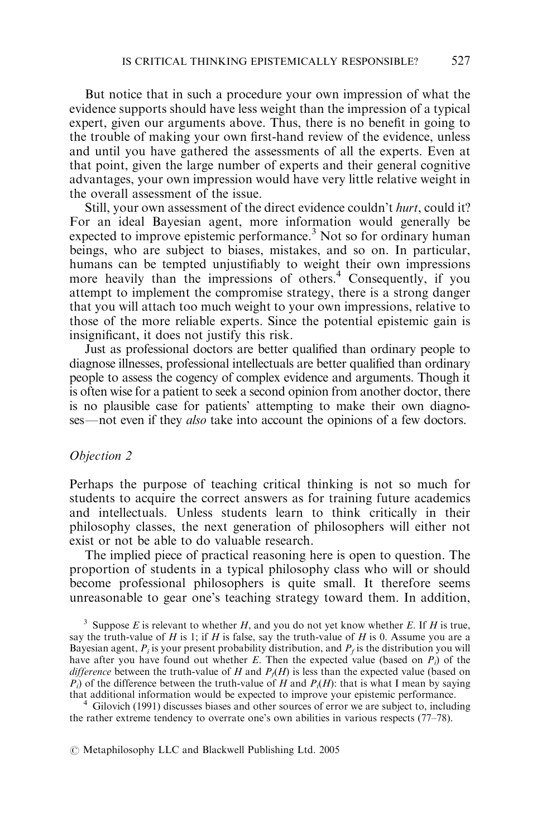But notice that in such a procedure your own impression of what the evidence supports should have less weight than the impression of a typical expert, given our arguments above. Thus, there is no benefit in going to the trouble of making your own first-hand review of the evidence, unless and until you have gathered the assessments of all the experts. Even at that point, given the large number of experts and their general cognitive advantages, your own impression would have very little relative weight in the overall assessment of the issue.

Still, your own assessment of the direct evidence couldn't hurt, could it? For an ideal Bayesian agent, more information would generally be expected to improve epistemic performance.<sup>3</sup> Not so for ordinary human beings, who are subject to biases, mistakes, and so on. In particular, humans can be tempted unjustifiably to weight their own impressions more heavily than the impressions of others.<sup>4</sup> Consequently, if you attempt to implement the compromise strategy, there is a strong danger that you will attach too much weight to your own impressions, relative to those of the more reliable experts. Since the potential epistemic gain is insignificant, it does not justify this risk.

Just as professional doctors are better qualified than ordinary people to diagnose illnesses, professional intellectuals are better qualified than ordinary people to assess the cogency of complex evidence and arguments. Though it is often wise for a patient to seek a second opinion from another doctor, there is no plausible case for patients' attempting to make their own diagnoses—not even if they *also* take into account the opinions of a few doctors.

## Objection 2

Perhaps the purpose of teaching critical thinking is not so much for students to acquire the correct answers as for training future academics and intellectuals. Unless students learn to think critically in their philosophy classes, the next generation of philosophers will either not exist or not be able to do valuable research.

The implied piece of practical reasoning here is open to question. The proportion of students in a typical philosophy class who will or should become professional philosophers is quite small. It therefore seems unreasonable to gear one's teaching strategy toward them. In addition,

<sup>4</sup> Gilovich (1991) discusses biases and other sources of error we are subject to, including the rather extreme tendency to overrate one's own abilities in various respects (77–78).

<sup>&</sup>lt;sup>3</sup> Suppose E is relevant to whether H, and you do not yet know whether E. If H is true, say the truth-value of H is 1; if H is false, say the truth-value of H is 0. Assume you are a Bayesian agent,  $P_i$  is your present probability distribution, and  $P_f$  is the distribution you will have after you have found out whether  $E$ . Then the expected value (based on  $P_i$ ) of the difference between the truth-value of H and  $P_f(H)$  is less than the expected value (based on  $P_i$ ) of the difference between the truth-value of H and  $P_i(H)$ : that is what I mean by saying that additional information would be expected to improve your epistemic performance.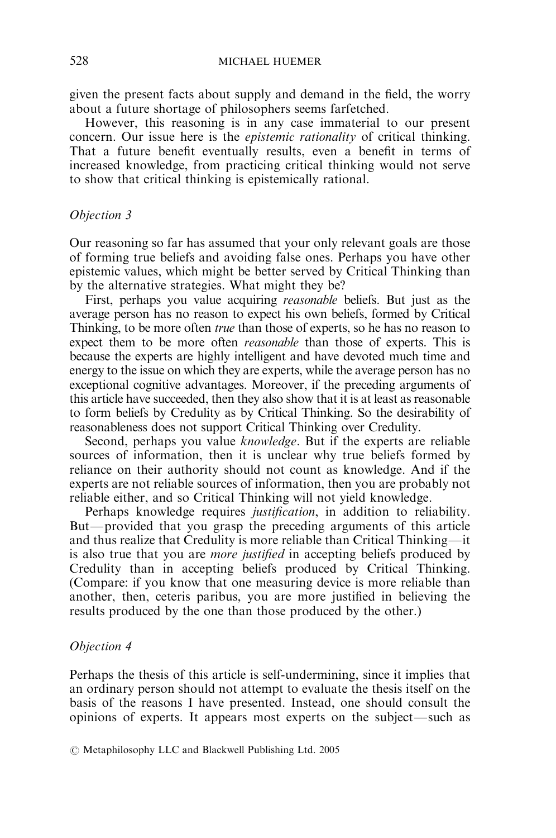given the present facts about supply and demand in the field, the worry about a future shortage of philosophers seems farfetched.

However, this reasoning is in any case immaterial to our present concern. Our issue here is the epistemic rationality of critical thinking. That a future benefit eventually results, even a benefit in terms of increased knowledge, from practicing critical thinking would not serve to show that critical thinking is epistemically rational.

#### Objection 3

Our reasoning so far has assumed that your only relevant goals are those of forming true beliefs and avoiding false ones. Perhaps you have other epistemic values, which might be better served by Critical Thinking than by the alternative strategies. What might they be?

First, perhaps you value acquiring reasonable beliefs. But just as the average person has no reason to expect his own beliefs, formed by Critical Thinking, to be more often true than those of experts, so he has no reason to expect them to be more often reasonable than those of experts. This is because the experts are highly intelligent and have devoted much time and energy to the issue on which they are experts, while the average person has no exceptional cognitive advantages. Moreover, if the preceding arguments of this article have succeeded, then they also show that it is at least as reasonable to form beliefs by Credulity as by Critical Thinking. So the desirability of reasonableness does not support Critical Thinking over Credulity.

Second, perhaps you value *knowledge*. But if the experts are reliable sources of information, then it is unclear why true beliefs formed by reliance on their authority should not count as knowledge. And if the experts are not reliable sources of information, then you are probably not reliable either, and so Critical Thinking will not yield knowledge.

Perhaps knowledge requires *justification*, in addition to reliability. But—provided that you grasp the preceding arguments of this article and thus realize that Credulity is more reliable than Critical Thinking—it is also true that you are more justified in accepting beliefs produced by Credulity than in accepting beliefs produced by Critical Thinking. (Compare: if you know that one measuring device is more reliable than another, then, ceteris paribus, you are more justified in believing the results produced by the one than those produced by the other.)

### Objection 4

Perhaps the thesis of this article is self-undermining, since it implies that an ordinary person should not attempt to evaluate the thesis itself on the basis of the reasons I have presented. Instead, one should consult the opinions of experts. It appears most experts on the subject—such as

 $\odot$  Metaphilosophy LLC and Blackwell Publishing Ltd. 2005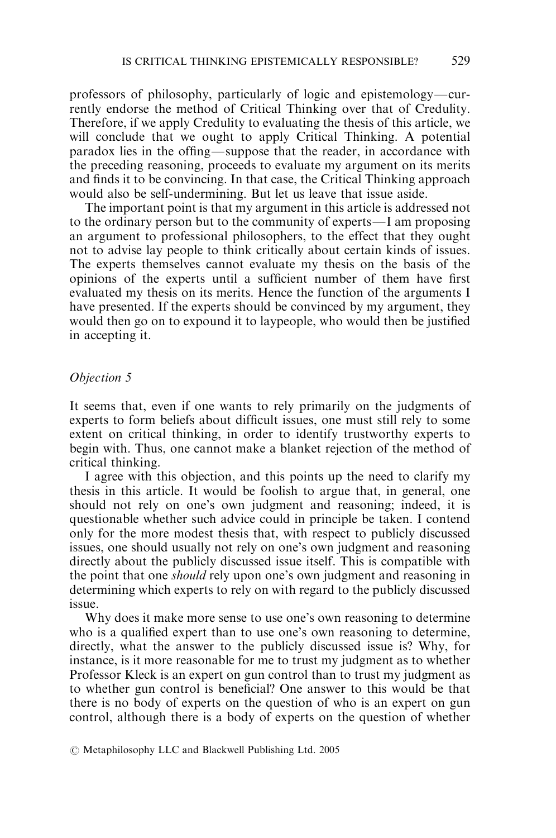professors of philosophy, particularly of logic and epistemology—currently endorse the method of Critical Thinking over that of Credulity. Therefore, if we apply Credulity to evaluating the thesis of this article, we will conclude that we ought to apply Critical Thinking. A potential paradox lies in the offing—suppose that the reader, in accordance with the preceding reasoning, proceeds to evaluate my argument on its merits and finds it to be convincing. In that case, the Critical Thinking approach would also be self-undermining. But let us leave that issue aside.

The important point is that my argument in this article is addressed not to the ordinary person but to the community of experts—I am proposing an argument to professional philosophers, to the effect that they ought not to advise lay people to think critically about certain kinds of issues. The experts themselves cannot evaluate my thesis on the basis of the opinions of the experts until a sufficient number of them have first evaluated my thesis on its merits. Hence the function of the arguments I have presented. If the experts should be convinced by my argument, they would then go on to expound it to laypeople, who would then be justified in accepting it.

### Objection 5

It seems that, even if one wants to rely primarily on the judgments of experts to form beliefs about difficult issues, one must still rely to some extent on critical thinking, in order to identify trustworthy experts to begin with. Thus, one cannot make a blanket rejection of the method of critical thinking.

I agree with this objection, and this points up the need to clarify my thesis in this article. It would be foolish to argue that, in general, one should not rely on one's own judgment and reasoning; indeed, it is questionable whether such advice could in principle be taken. I contend only for the more modest thesis that, with respect to publicly discussed issues, one should usually not rely on one's own judgment and reasoning directly about the publicly discussed issue itself. This is compatible with the point that one should rely upon one's own judgment and reasoning in determining which experts to rely on with regard to the publicly discussed issue.

Why does it make more sense to use one's own reasoning to determine who is a qualified expert than to use one's own reasoning to determine, directly, what the answer to the publicly discussed issue is? Why, for instance, is it more reasonable for me to trust my judgment as to whether Professor Kleck is an expert on gun control than to trust my judgment as to whether gun control is beneficial? One answer to this would be that there is no body of experts on the question of who is an expert on gun control, although there is a body of experts on the question of whether

 $\odot$  Metaphilosophy LLC and Blackwell Publishing Ltd. 2005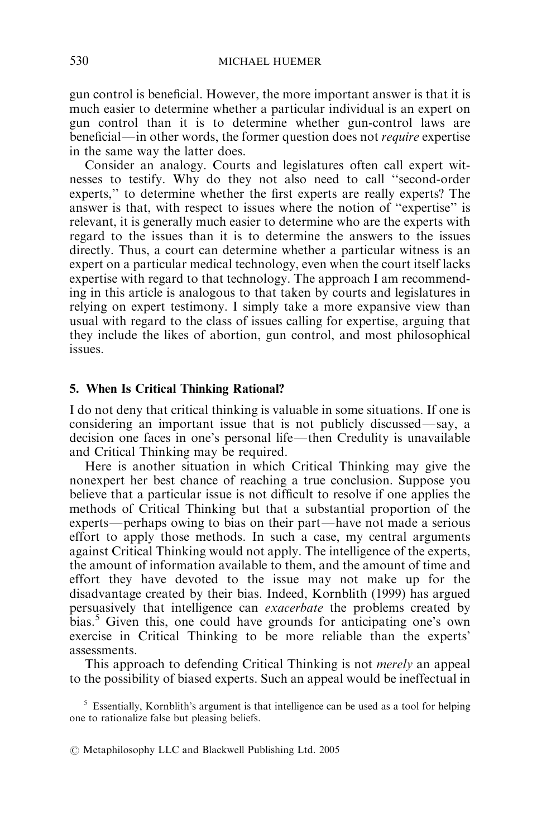gun control is beneficial. However, the more important answer is that it is much easier to determine whether a particular individual is an expert on gun control than it is to determine whether gun-control laws are beneficial—in other words, the former question does not *require* expertise in the same way the latter does.

Consider an analogy. Courts and legislatures often call expert witnesses to testify. Why do they not also need to call ''second-order experts,'' to determine whether the first experts are really experts? The answer is that, with respect to issues where the notion of ''expertise'' is relevant, it is generally much easier to determine who are the experts with regard to the issues than it is to determine the answers to the issues directly. Thus, a court can determine whether a particular witness is an expert on a particular medical technology, even when the court itself lacks expertise with regard to that technology. The approach I am recommending in this article is analogous to that taken by courts and legislatures in relying on expert testimony. I simply take a more expansive view than usual with regard to the class of issues calling for expertise, arguing that they include the likes of abortion, gun control, and most philosophical issues.

### 5. When Is Critical Thinking Rational?

I do not deny that critical thinking is valuable in some situations. If one is considering an important issue that is not publicly discussed—say, a decision one faces in one's personal life—then Credulity is unavailable and Critical Thinking may be required.

Here is another situation in which Critical Thinking may give the nonexpert her best chance of reaching a true conclusion. Suppose you believe that a particular issue is not difficult to resolve if one applies the methods of Critical Thinking but that a substantial proportion of the experts—perhaps owing to bias on their part—have not made a serious effort to apply those methods. In such a case, my central arguments against Critical Thinking would not apply. The intelligence of the experts, the amount of information available to them, and the amount of time and effort they have devoted to the issue may not make up for the disadvantage created by their bias. Indeed, Kornblith (1999) has argued persuasively that intelligence can exacerbate the problems created by bias.<sup>5</sup> Given this, one could have grounds for anticipating one's own exercise in Critical Thinking to be more reliable than the experts' assessments.

This approach to defending Critical Thinking is not *merely* an appeal to the possibility of biased experts. Such an appeal would be ineffectual in

<sup>5</sup> Essentially, Kornblith's argument is that intelligence can be used as a tool for helping one to rationalize false but pleasing beliefs.